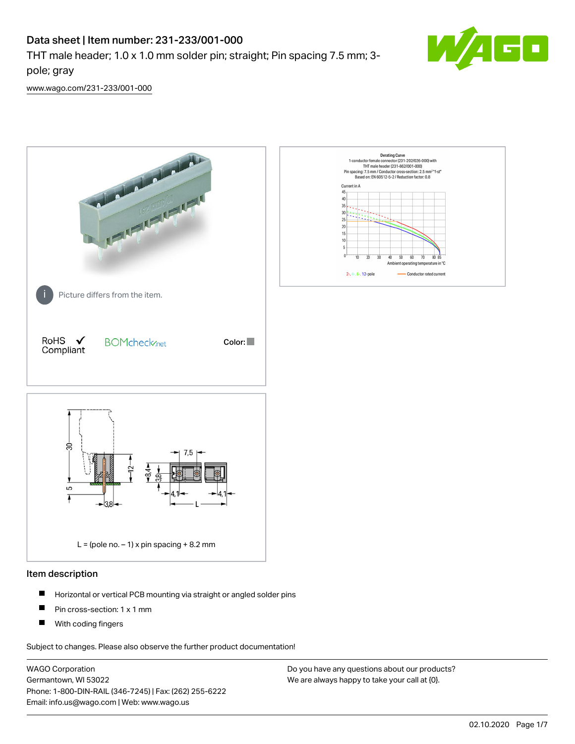# Data sheet | Item number: 231-233/001-000

THT male header; 1.0 x 1.0 mm solder pin; straight; Pin spacing 7.5 mm; 3 pole; gray



[www.wago.com/231-233/001-000](http://www.wago.com/231-233/001-000)



### Item description

- $\blacksquare$ Horizontal or vertical PCB mounting via straight or angled solder pins
- $\blacksquare$ Pin cross-section: 1 x 1 mm
- $\blacksquare$ With coding fingers

Subject to changes. Please also observe the further product documentation!

WAGO Corporation Germantown, WI 53022 Phone: 1-800-DIN-RAIL (346-7245) | Fax: (262) 255-6222 Email: info.us@wago.com | Web: www.wago.us

Do you have any questions about our products? We are always happy to take your call at {0}.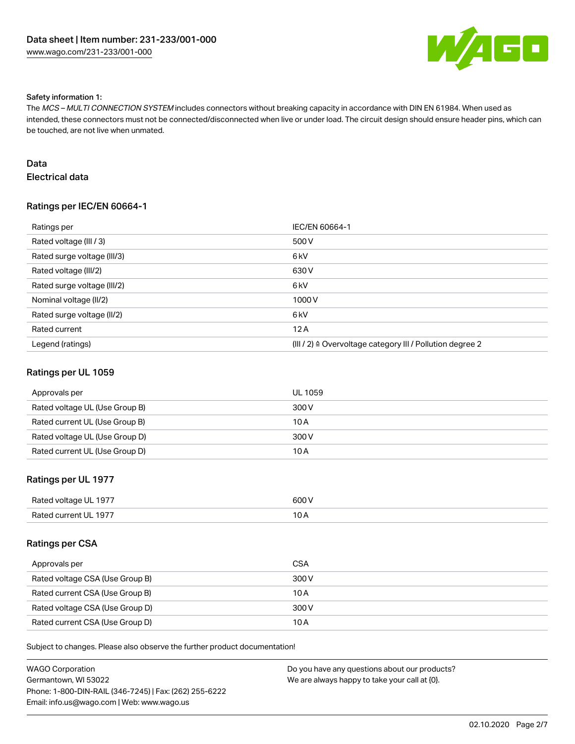

#### Safety information 1:

The MCS – MULTI CONNECTION SYSTEM includes connectors without breaking capacity in accordance with DIN EN 61984. When used as intended, these connectors must not be connected/disconnected when live or under load. The circuit design should ensure header pins, which can be touched, are not live when unmated.

# Data

# Electrical data

## Ratings per IEC/EN 60664-1

| Ratings per                 | IEC/EN 60664-1                                                        |
|-----------------------------|-----------------------------------------------------------------------|
| Rated voltage (III / 3)     | 500 V                                                                 |
| Rated surge voltage (III/3) | 6 <sub>kV</sub>                                                       |
| Rated voltage (III/2)       | 630 V                                                                 |
| Rated surge voltage (III/2) | 6 <sub>kV</sub>                                                       |
| Nominal voltage (II/2)      | 1000V                                                                 |
| Rated surge voltage (II/2)  | 6 <sub>kV</sub>                                                       |
| Rated current               | 12A                                                                   |
| Legend (ratings)            | $(III / 2)$ $\triangle$ Overvoltage category III / Pollution degree 2 |

#### Ratings per UL 1059

| Approvals per                  | UL 1059 |
|--------------------------------|---------|
| Rated voltage UL (Use Group B) | 300 V   |
| Rated current UL (Use Group B) | 10 A    |
| Rated voltage UL (Use Group D) | 300 V   |
| Rated current UL (Use Group D) | 10 A    |

### Ratings per UL 1977

| Rated voltage UL 1977 | 600 V |
|-----------------------|-------|
| Rated current UL 1977 | 10 A  |

#### Ratings per CSA

| Approvals per                   | CSA   |
|---------------------------------|-------|
| Rated voltage CSA (Use Group B) | 300 V |
| Rated current CSA (Use Group B) | 10 A  |
| Rated voltage CSA (Use Group D) | 300 V |
| Rated current CSA (Use Group D) | 10 A  |

Subject to changes. Please also observe the further product documentation!

| WAGO Corporation                                       | Do you have any questions about our products? |
|--------------------------------------------------------|-----------------------------------------------|
| Germantown, WI 53022                                   | We are always happy to take your call at {0}. |
| Phone: 1-800-DIN-RAIL (346-7245)   Fax: (262) 255-6222 |                                               |
| Email: info.us@wago.com   Web: www.wago.us             |                                               |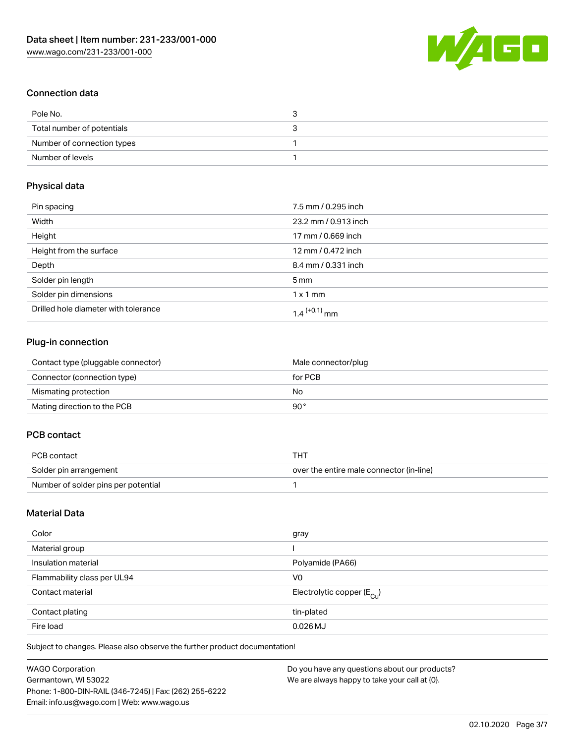

# Connection data

| Pole No.                   | ◡ |
|----------------------------|---|
| Total number of potentials |   |
| Number of connection types |   |
| Number of levels           |   |

# Physical data

| Pin spacing                          | 7.5 mm / 0.295 inch      |
|--------------------------------------|--------------------------|
| Width                                | 23.2 mm / 0.913 inch     |
| Height                               | 17 mm / 0.669 inch       |
| Height from the surface              | 12 mm / 0.472 inch       |
| Depth                                | 8.4 mm / 0.331 inch      |
| Solder pin length                    | $5 \,\mathrm{mm}$        |
| Solder pin dimensions                | $1 \times 1$ mm          |
| Drilled hole diameter with tolerance | 1.4 <sup>(+0.1)</sup> mm |

# Plug-in connection

| Contact type (pluggable connector) | Male connector/plug |
|------------------------------------|---------------------|
| Connector (connection type)        | for PCB             |
| Mismating protection               | No                  |
| Mating direction to the PCB        | 90°                 |

# PCB contact

| PCB contact                         | тнт                                      |
|-------------------------------------|------------------------------------------|
| Solder pin arrangement              | over the entire male connector (in-line) |
| Number of solder pins per potential |                                          |

# Material Data

| Color                       | gray                                    |
|-----------------------------|-----------------------------------------|
| Material group              |                                         |
| Insulation material         | Polyamide (PA66)                        |
| Flammability class per UL94 | V <sub>0</sub>                          |
| Contact material            | Electrolytic copper ( $E_{\text{Cu}}$ ) |
| Contact plating             | tin-plated                              |
| Fire load                   | $0.026$ MJ                              |

Subject to changes. Please also observe the further product documentation!

| <b>WAGO Corporation</b>                                | Do you have any questions about our products? |
|--------------------------------------------------------|-----------------------------------------------|
| Germantown, WI 53022                                   | We are always happy to take your call at {0}. |
| Phone: 1-800-DIN-RAIL (346-7245)   Fax: (262) 255-6222 |                                               |
| Email: info.us@wago.com   Web: www.wago.us             |                                               |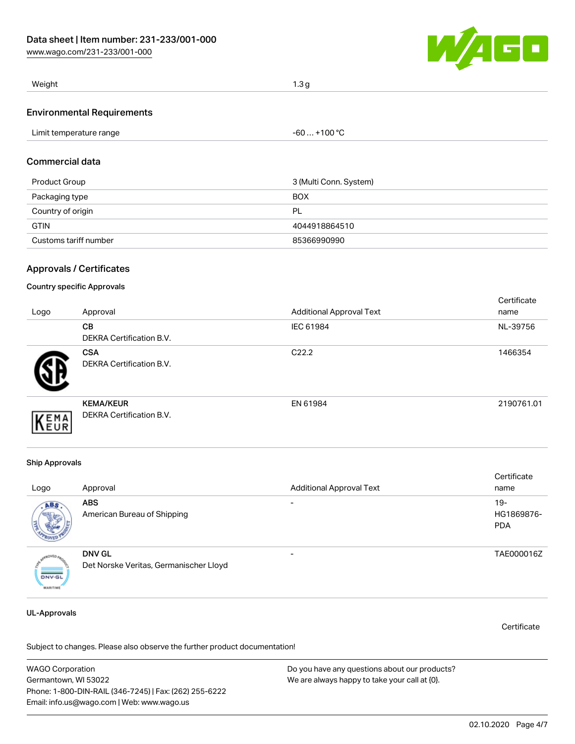[www.wago.com/231-233/001-000](http://www.wago.com/231-233/001-000)



| Weight |  |
|--------|--|
|        |  |

#### Environmental Requirements

|  | Limit temperature range | . +100 °C<br>$-60$ |
|--|-------------------------|--------------------|
|--|-------------------------|--------------------|

#### Commercial data

| Product Group         | 3 (Multi Conn. System) |
|-----------------------|------------------------|
| Packaging type        | <b>BOX</b>             |
| Country of origin     | PL                     |
| <b>GTIN</b>           | 4044918864510          |
| Customs tariff number | 85366990990            |

### Approvals / Certificates

#### Country specific Approvals

| Logo | Approval                                     | <b>Additional Approval Text</b> | Certificate<br>name |
|------|----------------------------------------------|---------------------------------|---------------------|
|      | <b>CB</b><br><b>DEKRA Certification B.V.</b> | IEC 61984                       | NL-39756            |
|      | <b>CSA</b><br>DEKRA Certification B.V.       | C <sub>22.2</sub>               | 1466354             |
| EMA  | <b>KEMA/KEUR</b><br>DEKRA Certification B.V. | EN 61984                        | 2190761.01          |

#### Ship Approvals

|                                  |                                        |                                 | Certificate |
|----------------------------------|----------------------------------------|---------------------------------|-------------|
| Logo                             | Approval                               | <b>Additional Approval Text</b> | name        |
| ABS.                             | <b>ABS</b>                             |                                 | $19-$       |
|                                  | American Bureau of Shipping            |                                 | HG1869876-  |
|                                  |                                        |                                 | <b>PDA</b>  |
|                                  | <b>DNV GL</b>                          | -                               | TAE000016Z  |
| <b>DNV-GL</b><br><b>MARITIME</b> | Det Norske Veritas, Germanischer Lloyd |                                 |             |

#### UL-Approvals

Certificate

Subject to changes. Please also observe the further product documentation!

WAGO Corporation Germantown, WI 53022 Phone: 1-800-DIN-RAIL (346-7245) | Fax: (262) 255-6222 Email: info.us@wago.com | Web: www.wago.us Do you have any questions about our products? We are always happy to take your call at {0}.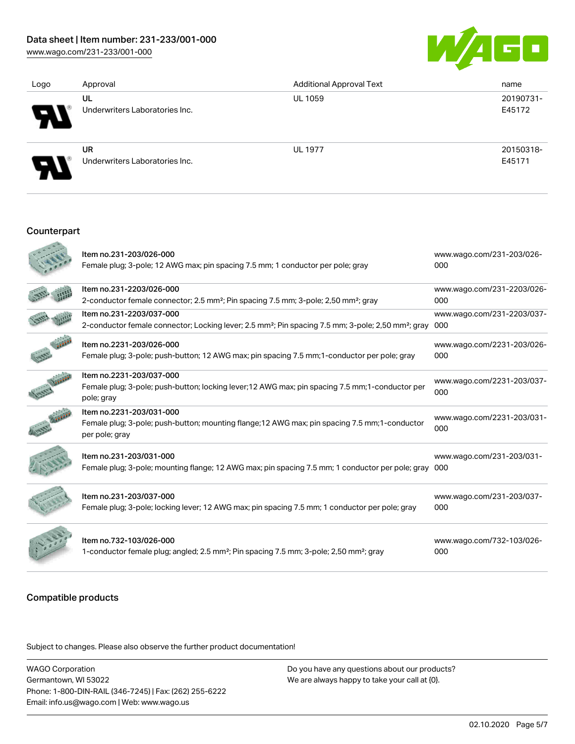[www.wago.com/231-233/001-000](http://www.wago.com/231-233/001-000)



| Logo | Approval                             | <b>Additional Approval Text</b> | name                |
|------|--------------------------------------|---------------------------------|---------------------|
| Э    | UL<br>Underwriters Laboratories Inc. | <b>UL 1059</b>                  | 20190731-<br>E45172 |
| Э    | UR<br>Underwriters Laboratories Inc. | <b>UL 1977</b>                  | 20150318-<br>E45171 |

#### Counterpart

| Item no.231-203/026-000<br>Female plug; 3-pole; 12 AWG max; pin spacing 7.5 mm; 1 conductor per pole; gray                                             | www.wago.com/231-203/026-<br>000  |
|--------------------------------------------------------------------------------------------------------------------------------------------------------|-----------------------------------|
| Item no.231-2203/026-000<br>2-conductor female connector; 2.5 mm <sup>2</sup> ; Pin spacing 7.5 mm; 3-pole; 2,50 mm <sup>2</sup> ; gray                | www.wago.com/231-2203/026-<br>000 |
| Item no.231-2203/037-000<br>2-conductor female connector; Locking lever; 2.5 mm <sup>2</sup> ; Pin spacing 7.5 mm; 3-pole; 2,50 mm <sup>2</sup> ; gray | www.wago.com/231-2203/037-<br>000 |
| Item no.2231-203/026-000<br>Female plug; 3-pole; push-button; 12 AWG max; pin spacing 7.5 mm; 1-conductor per pole; gray                               | www.wago.com/2231-203/026-<br>000 |
| Item no.2231-203/037-000<br>Female plug; 3-pole; push-button; locking lever; 12 AWG max; pin spacing 7.5 mm; 1-conductor per<br>pole; gray             | www.wago.com/2231-203/037-<br>000 |
| Item no.2231-203/031-000<br>Female plug; 3-pole; push-button; mounting flange; 12 AWG max; pin spacing 7.5 mm; 1-conductor<br>per pole; gray           | www.wago.com/2231-203/031-<br>000 |
| Item no.231-203/031-000<br>Female plug; 3-pole; mounting flange; 12 AWG max; pin spacing 7.5 mm; 1 conductor per pole; gray 000                        | www.wago.com/231-203/031-         |
| Item no.231-203/037-000<br>Female plug; 3-pole; locking lever; 12 AWG max; pin spacing 7.5 mm; 1 conductor per pole; gray                              | www.wago.com/231-203/037-<br>000  |
| Item no.732-103/026-000<br>1-conductor female plug; angled; 2.5 mm <sup>2</sup> ; Pin spacing 7.5 mm; 3-pole; 2,50 mm <sup>2</sup> ; gray              | www.wago.com/732-103/026-<br>000  |

#### Compatible products

.<br>Subject to changes. Please also observe the further product documentation!

WAGO Corporation Germantown, WI 53022 Phone: 1-800-DIN-RAIL (346-7245) | Fax: (262) 255-6222 Email: info.us@wago.com | Web: www.wago.us

Do you have any questions about our products? We are always happy to take your call at {0}.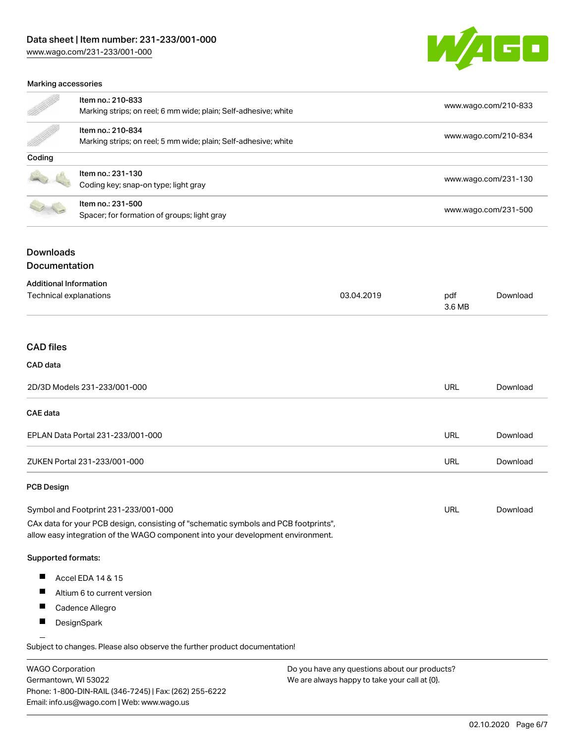[www.wago.com/231-233/001-000](http://www.wago.com/231-233/001-000)



#### Marking accessories

| en de la posta de la posta de la posta de la posta de la posta de la posta de la posta de la posta de la posta<br>La posta de la posta de la posta de la posta de la posta de la posta de la posta de la posta de la posta de la | Item no.: 210-833<br>Marking strips; on reel; 6 mm wide; plain; Self-adhesive; white | www.wago.com/210-833 |
|----------------------------------------------------------------------------------------------------------------------------------------------------------------------------------------------------------------------------------|--------------------------------------------------------------------------------------|----------------------|
|                                                                                                                                                                                                                                  | Item no.: 210-834<br>Marking strips; on reel; 5 mm wide; plain; Self-adhesive; white | www.wago.com/210-834 |
| Coding                                                                                                                                                                                                                           |                                                                                      |                      |
|                                                                                                                                                                                                                                  | Item no.: 231-130<br>Coding key; snap-on type; light gray                            | www.wago.com/231-130 |
|                                                                                                                                                                                                                                  | Item no.: 231-500<br>Spacer; for formation of groups; light gray                     | www.wago.com/231-500 |

# Downloads

## Documentation

| <b>Additional Information</b>     |            |               |          |
|-----------------------------------|------------|---------------|----------|
| Technical explanations            | 03.04.2019 | pdf<br>3.6 MB | Download |
| <b>CAD files</b>                  |            |               |          |
| CAD data                          |            |               |          |
| 2D/3D Models 231-233/001-000      |            | <b>URL</b>    | Download |
| CAE data                          |            |               |          |
| EPLAN Data Portal 231-233/001-000 |            | <b>URL</b>    | Download |
| ZUKEN Portal 231-233/001-000      |            | <b>URL</b>    | Download |
| <b>PCB Design</b>                 |            |               |          |

## Symbol and Footprint 231-233/001-000 CAx data for your PCB design, consisting of "schematic symbols and PCB footprints", allow easy integration of the WAGO component into your development environment.

#### Supported formats:

- П Accel EDA 14 & 15
- $\blacksquare$ Altium 6 to current version
- $\blacksquare$ Cadence Allegro
- $\blacksquare$ **DesignSpark**

Subject to changes. Please also observe the further product documentation! Eagle Libraries

| <b>WAGO Corporation</b>                                | Do you have any questions about our products? |
|--------------------------------------------------------|-----------------------------------------------|
| Germantown, WI 53022                                   | We are always happy to take your call at {0}. |
| Phone: 1-800-DIN-RAIL (346-7245)   Fax: (262) 255-6222 |                                               |
| Email: info.us@wago.com   Web: www.wago.us             |                                               |

URL [Download](https://www.wago.com/us/d/UltraLibrarian_URLS_231-233_001-000)